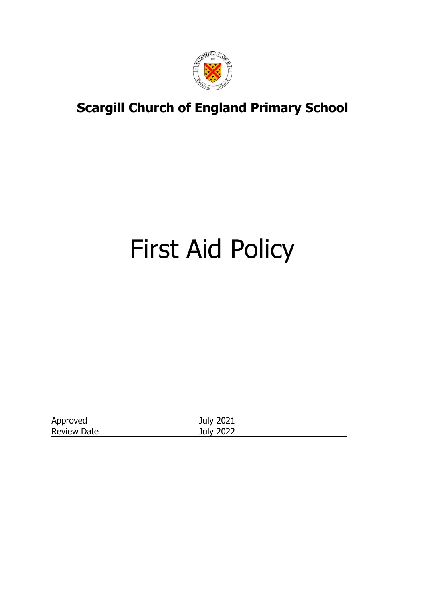

# First Aid Policy

| Approved           | 2021<br>July |
|--------------------|--------------|
| <b>Review Date</b> | 2022<br>July |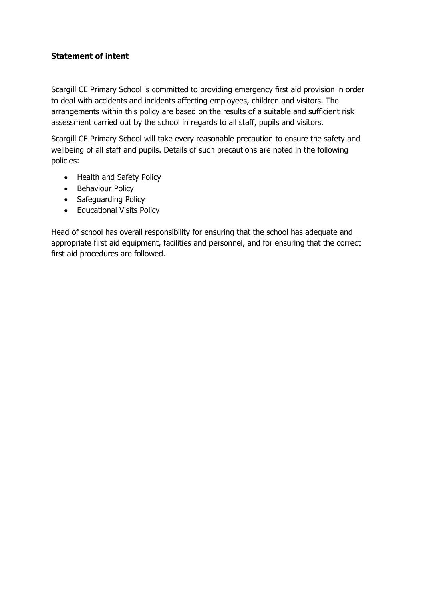### **Statement of intent**

Scargill CE Primary School is committed to providing emergency first aid provision in order to deal with accidents and incidents affecting employees, children and visitors. The arrangements within this policy are based on the results of a suitable and sufficient risk assessment carried out by the school in regards to all staff, pupils and visitors.

Scargill CE Primary School will take every reasonable precaution to ensure the safety and wellbeing of all staff and pupils. Details of such precautions are noted in the following policies:

- Health and Safety Policy
- Behaviour Policy
- Safeguarding Policy
- Educational Visits Policy

Head of school has overall responsibility for ensuring that the school has adequate and appropriate first aid equipment, facilities and personnel, and for ensuring that the correct first aid procedures are followed.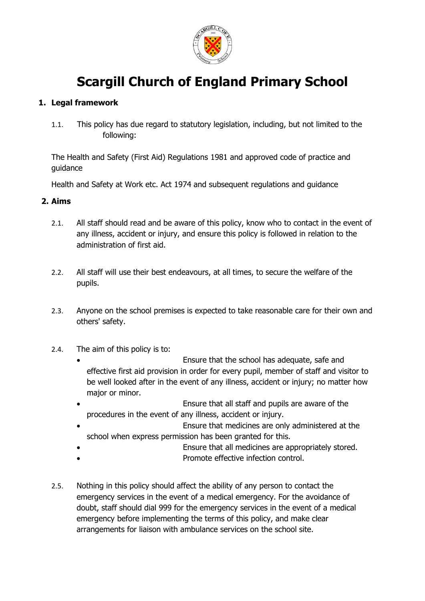

### **1. Legal framework**

1.1. This policy has due regard to statutory legislation, including, but not limited to the following:

The Health and Safety (First Aid) Regulations 1981 and approved code of practice and guidance

Health and Safety at Work etc. Act 1974 and subsequent regulations and guidance

### **2. Aims**

- 2.1. All staff should read and be aware of this policy, know who to contact in the event of any illness, accident or injury, and ensure this policy is followed in relation to the administration of first aid.
- 2.2. All staff will use their best endeavours, at all times, to secure the welfare of the pupils.
- 2.3. Anyone on the school premises is expected to take reasonable care for their own and others' safety.
- 2.4. The aim of this policy is to:
	- Ensure that the school has adequate, safe and effective first aid provision in order for every pupil, member of staff and visitor to be well looked after in the event of any illness, accident or injury; no matter how major or minor.
	- Ensure that all staff and pupils are aware of the procedures in the event of any illness, accident or injury.
	- Ensure that medicines are only administered at the school when express permission has been granted for this.
	- Ensure that all medicines are appropriately stored.
	- Promote effective infection control.
- 2.5. Nothing in this policy should affect the ability of any person to contact the emergency services in the event of a medical emergency. For the avoidance of doubt, staff should dial 999 for the emergency services in the event of a medical emergency before implementing the terms of this policy, and make clear arrangements for liaison with ambulance services on the school site.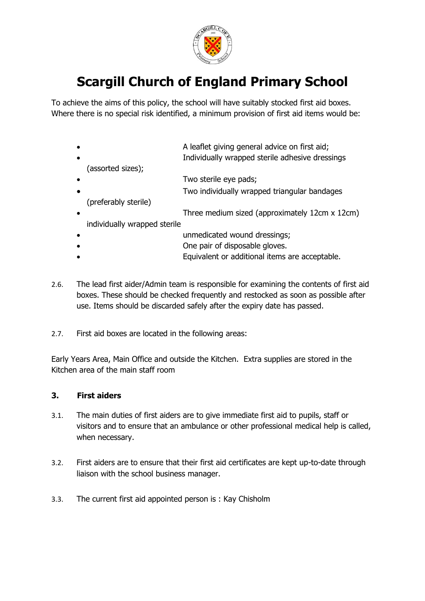

To achieve the aims of this policy, the school will have suitably stocked first aid boxes. Where there is no special risk identified, a minimum provision of first aid items would be:

| $\bullet$ | A leaflet giving general advice on first aid;   |  |
|-----------|-------------------------------------------------|--|
| $\bullet$ | Individually wrapped sterile adhesive dressings |  |
|           | (assorted sizes);                               |  |
| $\bullet$ | Two sterile eye pads;                           |  |
|           | Two individually wrapped triangular bandages    |  |
|           | (preferably sterile)                            |  |
| $\bullet$ | Three medium sized (approximately 12cm x 12cm)  |  |
|           | individually wrapped sterile                    |  |
| $\bullet$ | unmedicated wound dressings;                    |  |
|           | One pair of disposable gloves.                  |  |

- Equivalent or additional items are acceptable.
- 2.6. The lead first aider/Admin team is responsible for examining the contents of first aid boxes. These should be checked frequently and restocked as soon as possible after use. Items should be discarded safely after the expiry date has passed.
- 2.7. First aid boxes are located in the following areas:

Early Years Area, Main Office and outside the Kitchen. Extra supplies are stored in the Kitchen area of the main staff room

#### **3. First aiders**

- 3.1. The main duties of first aiders are to give immediate first aid to pupils, staff or visitors and to ensure that an ambulance or other professional medical help is called, when necessary.
- 3.2. First aiders are to ensure that their first aid certificates are kept up-to-date through liaison with the school business manager.
- 3.3. The current first aid appointed person is : Kay Chisholm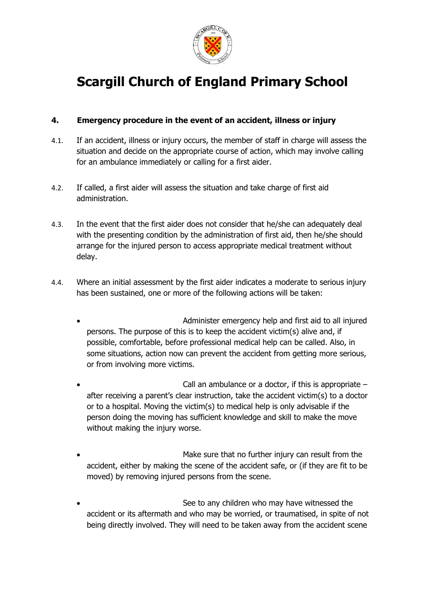

### **4. Emergency procedure in the event of an accident, illness or injury**

- 4.1. If an accident, illness or injury occurs, the member of staff in charge will assess the situation and decide on the appropriate course of action, which may involve calling for an ambulance immediately or calling for a first aider.
- 4.2. If called, a first aider will assess the situation and take charge of first aid administration.
- 4.3. In the event that the first aider does not consider that he/she can adequately deal with the presenting condition by the administration of first aid, then he/she should arrange for the injured person to access appropriate medical treatment without delay.
- 4.4. Where an initial assessment by the first aider indicates a moderate to serious injury has been sustained, one or more of the following actions will be taken:
	- Administer emergency help and first aid to all injured persons. The purpose of this is to keep the accident victim(s) alive and, if possible, comfortable, before professional medical help can be called. Also, in some situations, action now can prevent the accident from getting more serious, or from involving more victims.
	- Call an ambulance or a doctor, if this is appropriate  $$ after receiving a parent's clear instruction, take the accident victim(s) to a doctor or to a hospital. Moving the victim(s) to medical help is only advisable if the person doing the moving has sufficient knowledge and skill to make the move without making the injury worse.
	- Make sure that no further injury can result from the accident, either by making the scene of the accident safe, or (if they are fit to be moved) by removing injured persons from the scene.
	- See to any children who may have witnessed the accident or its aftermath and who may be worried, or traumatised, in spite of not being directly involved. They will need to be taken away from the accident scene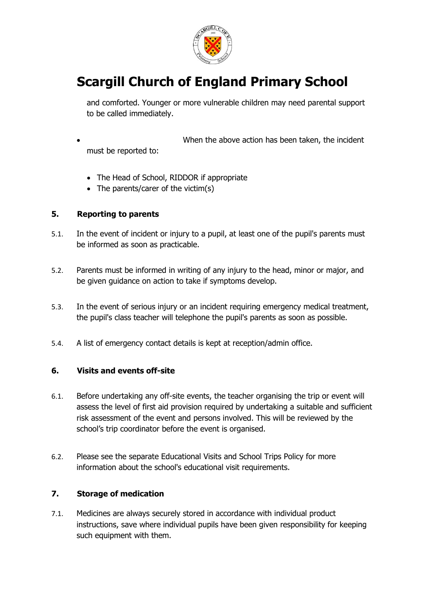

and comforted. Younger or more vulnerable children may need parental support to be called immediately.

- When the above action has been taken, the incident must be reported to:
	- The Head of School, RIDDOR if appropriate
	- The parents/carer of the victim(s)

#### **5. Reporting to parents**

- 5.1. In the event of incident or injury to a pupil, at least one of the pupil's parents must be informed as soon as practicable.
- 5.2. Parents must be informed in writing of any injury to the head, minor or major, and be given guidance on action to take if symptoms develop.
- 5.3. In the event of serious injury or an incident requiring emergency medical treatment, the pupil's class teacher will telephone the pupil's parents as soon as possible.
- 5.4. A list of emergency contact details is kept at reception/admin office.

#### **6. Visits and events off-site**

- 6.1. Before undertaking any off-site events, the teacher organising the trip or event will assess the level of first aid provision required by undertaking a suitable and sufficient risk assessment of the event and persons involved. This will be reviewed by the school's trip coordinator before the event is organised.
- 6.2. Please see the separate Educational Visits and School Trips Policy for more information about the school's educational visit requirements.

#### **7. Storage of medication**

7.1. Medicines are always securely stored in accordance with individual product instructions, save where individual pupils have been given responsibility for keeping such equipment with them.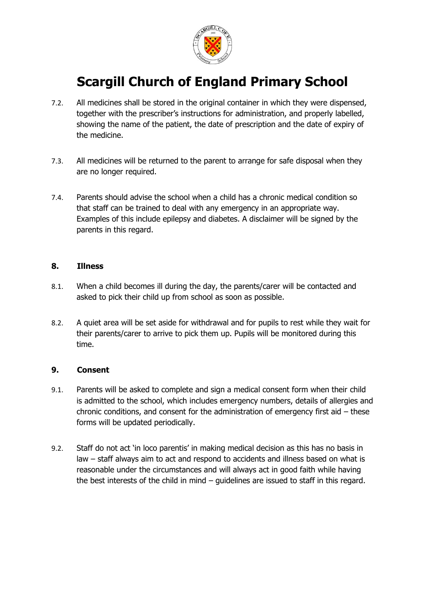

- 7.2. All medicines shall be stored in the original container in which they were dispensed, together with the prescriber's instructions for administration, and properly labelled, showing the name of the patient, the date of prescription and the date of expiry of the medicine.
- 7.3. All medicines will be returned to the parent to arrange for safe disposal when they are no longer required.
- 7.4. Parents should advise the school when a child has a chronic medical condition so that staff can be trained to deal with any emergency in an appropriate way. Examples of this include epilepsy and diabetes. A disclaimer will be signed by the parents in this regard.

#### **8. Illness**

- 8.1. When a child becomes ill during the day, the parents/carer will be contacted and asked to pick their child up from school as soon as possible.
- 8.2. A quiet area will be set aside for withdrawal and for pupils to rest while they wait for their parents/carer to arrive to pick them up. Pupils will be monitored during this time.

#### **9. Consent**

- 9.1. Parents will be asked to complete and sign a medical consent form when their child is admitted to the school, which includes emergency numbers, details of allergies and chronic conditions, and consent for the administration of emergency first aid – these forms will be updated periodically.
- 9.2. Staff do not act 'in loco parentis' in making medical decision as this has no basis in law – staff always aim to act and respond to accidents and illness based on what is reasonable under the circumstances and will always act in good faith while having the best interests of the child in mind – guidelines are issued to staff in this regard.